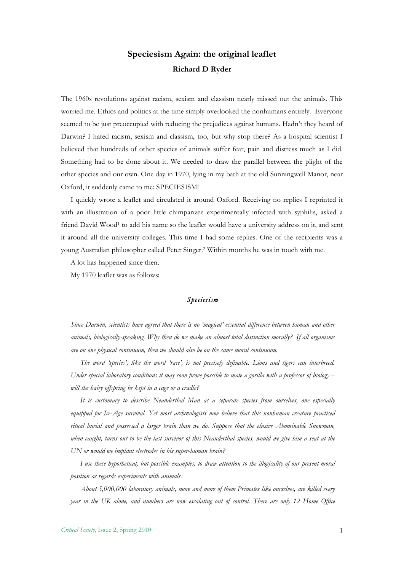## **Speciesism Again: the original leaflet Richard D Ryder**

The 1960s revolutions against racism, sexism and classism nearly missed out the animals. This worried me. Ethics and politics at the time simply overlooked the nonhumans entirely. Everyone seemed to be just preoccupied with reducing the prejudices against humans. Hadn't they heard of Darwin? I hated racism, sexism and classism, too, but why stop there? As a hospital scientist I believed that hundreds of other species of animals suffer fear, pain and distress much as I did. Something had to be done about it. We needed to draw the parallel between the plight of the other species and our own. One day in 1970, lying in my bath at the old Sunningwell Manor, near Oxford, it suddenly came to me: SPECIESISM!

I quickly wrote a leaflet and circulated it around Oxford. Receiving no replies I reprinted it with an illustration of a poor little chimpanzee experimentally infected with syphilis, asked a friend David Wood<sup>1</sup> to add his name so the leaflet would have a university address on it, and sent it around all the university colleges. This time I had some replies. One of the recipients was a young Australian philosopher called Peter Singer.2 Within months he was in touch with me.

A lot has happened since then.

My 1970 leaflet was as follows:

## *Speciesism*

*Since Darwin, scientists have agreed that there is no 'magical' essential difference between human and other animals, biologically-speaking. Why then do we make an almost total distinction morally? If all organisms are on one physical continuum, then we should also be on the same moral continuum.*

*The word 'species', like the word 'race', is not precisely definable. Lions and tigers can interbreed. Under special laboratory conditions it may soon prove possible to mate a gorilla with a professor of biology – will the hairy offspring be kept in a cage or a cradle?*

*It is customary to describe Neanderthal Man as a separate species from ourselves, one especially equipped for Ice-Age survival. Yet most archæologists now believe that this nonhuman creature practised ritual burial and possessed a larger brain than we do. Suppose that the elusive Abominable Snowman, when caught, turns out to be the last survivor of this Neanderthal species, would we give him a seat at the UN or would we implant electrodes in his super-human brain?*

*I use these hypothetical, but possible examples, to draw attention to the illogicality of our present moral position as regards experiments with animals.*

*About 5,000,000 laboratory animals, more and more of them Primates like ourselves, are killed every year in the UK alone, and numbers are now escalating out of control. There are only 12 Home Office*